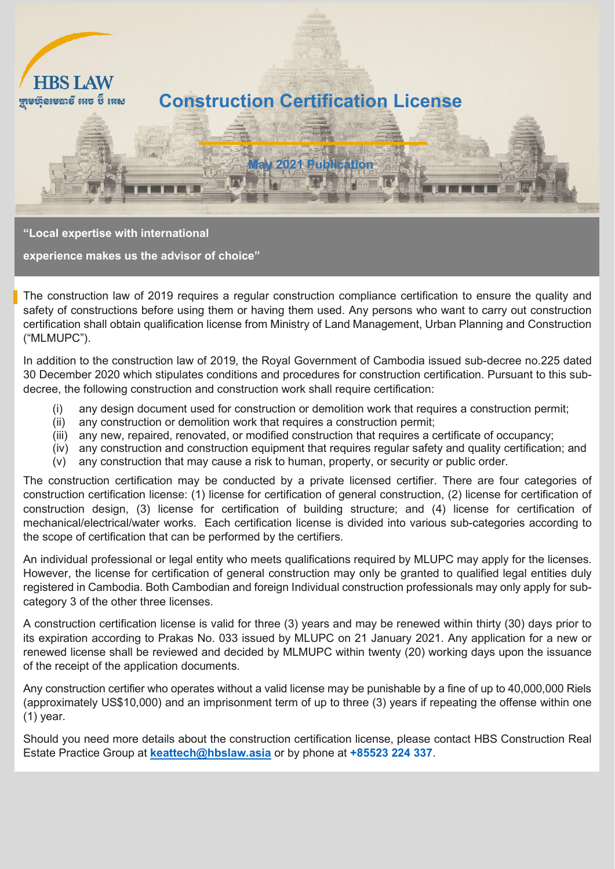

**"Local expertise with international**

**experience makes us the advisor of choice"**

The construction law of 2019 requires a regular construction compliance certification to ensure the quality and safety of constructions before using them or having them used. Any persons who want to carry out construction certification shall obtain qualification license from Ministry of Land Management, Urban Planning and Construction ("MLMUPC").

In addition to the construction law of 2019, the Royal Government of Cambodia issued sub-decree no.225 dated 30 December 2020 which stipulates conditions and procedures for construction certification. Pursuant to this subdecree, the following construction and construction work shall require certification:

- (i) any design document used for construction or demolition work that requires a construction permit;
- (ii) any construction or demolition work that requires a construction permit;
- (iii) any new, repaired, renovated, or modified construction that requires a certificate of occupancy;
- (iv) any construction and construction equipment that requires regular safety and quality certification; and
- (v) any construction that may cause a risk to human, property, or security or public order.

The construction certification may be conducted by a private licensed certifier. There are four categories of construction certification license: (1) license for certification of general construction, (2) license for certification of construction design, (3) license for certification of building structure; and (4) license for certification of mechanical/electrical/water works. Each certification license is divided into various sub-categories according to the scope of certification that can be performed by the certifiers.

An individual professional or legal entity who meets qualifications required by MLUPC may apply for the licenses. However, the license for certification of general construction may only be granted to qualified legal entities duly registered in Cambodia. Both Cambodian and foreign Individual construction professionals may only apply for subcategory 3 of the other three licenses.

A construction certification license is valid for three (3) years and may be renewed within thirty (30) days prior to its expiration according to Prakas No. 033 issued by MLUPC on 21 January 2021. Any application for a new or renewed license shall be reviewed and decided by MLMUPC within twenty (20) working days upon the issuance of the receipt of the application documents.

Any construction certifier who operates without a valid license may be punishable by a fine of up to 40,000,000 Riels (approximately US\$10,000) and an imprisonment term of up to three (3) years if repeating the offense within one (1) year.

Should you need more details about the construction certification license, please contact HBS Construction Real Estate Practice Group at **[keattech@hbslaw.asia](mailto:keattech@hbslaw.asia)** or by phone at **+85523 224 337**.